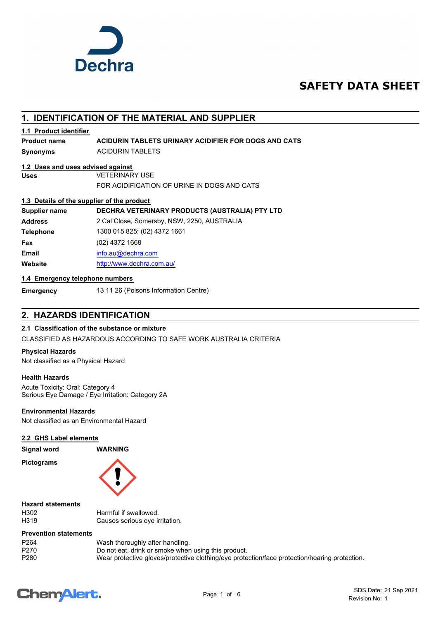

# **SAFETY DATA SHEET**

# **1. IDENTIFICATION OF THE MATERIAL AND SUPPLIER**

# **1.1 Product identifier**

**Product name ACIDURIN TABLETS URINARY ACIDIFIER FOR DOGS AND CATS**

**Synonyms** ACIDURIN TABLETS

# **1.2 Uses and uses advised against**

**Uses** VETERINARY USE

FOR ACIDIFICATION OF URINE IN DOGS AND CATS

# **1.3 Details of the supplier of the product**

**Supplier name DECHRA VETERINARY PRODUCTS (AUSTRALIA) PTY LTD Address** 2 Cal Close, Somersby, NSW, 2250, AUSTRALIA **Telephone** 1300 015 825; (02) 4372 1661 **Fax** (02) 4372 1668 **Email** [info.au@](mailto:info.au@dechra.com)dechra.com **Website** [http://www.](http://www.dechra.com.au/)dechra.com.au/

## **1.4 Emergency telephone numbers**

**Emergency** 13 11 26 (Poisons Information Centre)

# **2. HAZARDS IDENTIFICATION**

# **2.1 Classification of the substance or mixture**

CLASSIFIED AS HAZARDOUS ACCORDING TO SAFE WORK AUSTRALIA CRITERIA

## **Physical Hazards**

Not classified as a Physical Hazard

# **Health Hazards**

Acute Toxicity: Oral: Category 4 Serious Eye Damage / Eye Irritation: Category 2A

# **Environmental Hazards**

Not classified as an Environmental Hazard

# **2.2 GHS Label elements**

**Signal word WARNING**

**Pictograms**



**Hazard statements**

| 13UZ             |  |  |
|------------------|--|--|
| <del>1</del> 319 |  |  |

H302 Harmful if swallowed. H319 Causes serious eye irritation.

# **Prevention statements**

| P264 | Wash thoroughly after handling.                                                               |
|------|-----------------------------------------------------------------------------------------------|
| P270 | Do not eat, drink or smoke when using this product.                                           |
| P280 | Wear protective gloves/protective clothing/eye protection/face protection/hearing protection. |

# **ChemAlert.**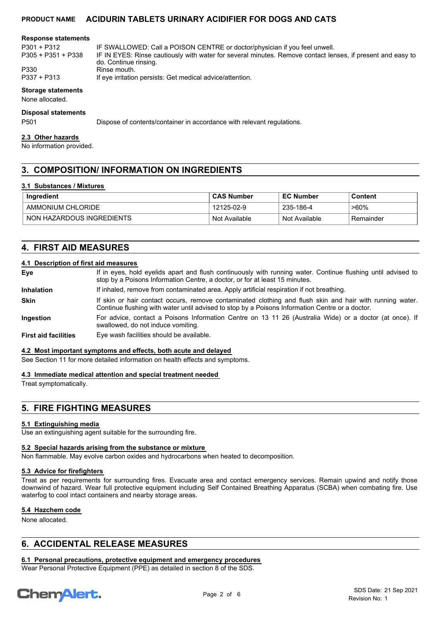#### **Response statements**

P305 + P351 + P338

P301 + P312 IF SWALLOWED: Call a POISON CENTRE or doctor/physician if you feel unwell. IF IN EYES: Rinse cautiously with water for several minutes. Remove contact lenses, if present and easy to do. Continue rinsing.

P330 Rinse mouth.<br>P337 + P313 If eve irritation

If eye irritation persists: Get medical advice/attention.

## **Storage statements**

None allocated.

#### **Disposal statements**

P501 Dispose of contents/container in accordance with relevant regulations.

#### **2.3 Other hazards**

No information provided.

# **3. COMPOSITION/ INFORMATION ON INGREDIENTS**

#### **3.1 Substances / Mixtures**

| Ingredient                | <b>CAS Number</b> | <b>EC Number</b> | Content   |
|---------------------------|-------------------|------------------|-----------|
| AMMONIUM CHLORIDE         | 12125-02-9        | 235-186-4        | $>60\%$   |
| NON HAZARDOUS INGREDIENTS | Not Available     | Not Available    | Remainder |

# **4. FIRST AID MEASURES**

#### **4.1 Description of first aid measures**

| Eye                         | If in eyes, hold eyelids apart and flush continuously with running water. Continue flushing until advised to<br>stop by a Poisons Information Centre, a doctor, or for at least 15 minutes.                 |
|-----------------------------|-------------------------------------------------------------------------------------------------------------------------------------------------------------------------------------------------------------|
| <b>Inhalation</b>           | If inhaled, remove from contaminated area. Apply artificial respiration if not breathing.                                                                                                                   |
| <b>Skin</b>                 | If skin or hair contact occurs, remove contaminated clothing and flush skin and hair with running water.<br>Continue flushing with water until advised to stop by a Poisons Information Centre or a doctor. |
| <b>Ingestion</b>            | For advice, contact a Poisons Information Centre on 13 11 26 (Australia Wide) or a doctor (at once). If<br>swallowed, do not induce vomiting.                                                               |
| <b>First aid facilities</b> | Eye wash facilities should be available.                                                                                                                                                                    |

#### **4.2 Most important symptoms and effects, both acute and delayed**

See Section 11 for more detailed information on health effects and symptoms.

#### **4.3 Immediate medical attention and special treatment needed**

Treat symptomatically.

# **5. FIRE FIGHTING MEASURES**

#### **5.1 Extinguishing media**

Use an extinguishing agent suitable for the surrounding fire.

#### **5.2 Special hazards arising from the substance or mixture**

Non flammable. May evolve carbon oxides and hydrocarbons when heated to decomposition.

#### **5.3 Advice for firefighters**

Treat as per requirements for surrounding fires. Evacuate area and contact emergency services. Remain upwind and notify those downwind of hazard. Wear full protective equipment including Self Contained Breathing Apparatus (SCBA) when combating fire. Use waterfog to cool intact containers and nearby storage areas.

#### **5.4 Hazchem code**

None allocated.

# **6. ACCIDENTAL RELEASE MEASURES**

# **6.1 Personal precautions, protective equipment and emergency procedures**

Wear Personal Protective Equipment (PPE) as detailed in section 8 of the SDS.

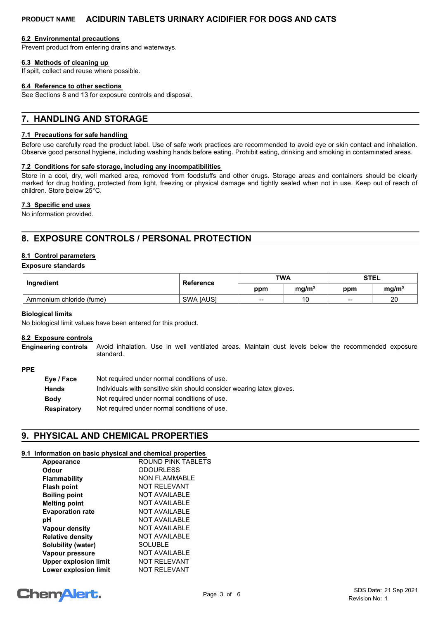#### **6.2 Environmental precautions**

Prevent product from entering drains and waterways.

# **6.3 Methods of cleaning up**

If spilt, collect and reuse where possible.

#### **6.4 Reference to other sections**

See Sections 8 and 13 for exposure controls and disposal.

# **7. HANDLING AND STORAGE**

#### **7.1 Precautions for safe handling**

Before use carefully read the product label. Use of safe work practices are recommended to avoid eye or skin contact and inhalation. Observe good personal hygiene, including washing hands before eating. Prohibit eating, drinking and smoking in contaminated areas.

## **7.2 Conditions for safe storage, including any incompatibilities**

Store in a cool, dry, well marked area, removed from foodstuffs and other drugs. Storage areas and containers should be clearly marked for drug holding, protected from light, freezing or physical damage and tightly sealed when not in use. Keep out of reach of children. Store below 25°C.

## **7.3 Specific end uses**

No information provided.

# **8. EXPOSURE CONTROLS / PERSONAL PROTECTION**

# **8.1 Control parameters**

#### **Exposure standards**

| Ingredient               | Reference        | <b>TWA</b> |                   | <b>STEL</b> |                   |
|--------------------------|------------------|------------|-------------------|-------------|-------------------|
|                          |                  | ppm        | ma/m <sup>3</sup> | ppm         | mg/m <sup>3</sup> |
| Ammonium chloride (fume) | <b>SWA JAUSI</b> | $- -$      | 10                | $\sim$      | 20                |

#### **Biological limits**

No biological limit values have been entered for this product.

#### **8.2 Exposure controls**

Avoid inhalation. Use in well ventilated areas. Maintain dust levels below the recommended exposure standard. **Engineering controls**

#### **PPE**

| Eye / Face         | Not required under normal conditions of use.                          |
|--------------------|-----------------------------------------------------------------------|
| <b>Hands</b>       | Individuals with sensitive skin should consider wearing latex gloves. |
| <b>Body</b>        | Not required under normal conditions of use.                          |
| <b>Respiratory</b> | Not required under normal conditions of use.                          |

# **9. PHYSICAL AND CHEMICAL PROPERTIES**

# **9.1 Information on basic physical and chemical properties**

| Appearance                   | <b>ROUND PINK TABLETS</b> |
|------------------------------|---------------------------|
| Odour                        | <b>ODOURLESS</b>          |
| <b>Flammability</b>          | <b>NON FLAMMABLE</b>      |
| <b>Flash point</b>           | <b>NOT RELEVANT</b>       |
| <b>Boiling point</b>         | <b>NOT AVAILABLE</b>      |
| <b>Melting point</b>         | <b>NOT AVAILABLE</b>      |
| <b>Evaporation rate</b>      | <b>NOT AVAILABLE</b>      |
| рH                           | NOT AVAILABLE             |
| <b>Vapour density</b>        | <b>NOT AVAILABLE</b>      |
| <b>Relative density</b>      | <b>NOT AVAILABLE</b>      |
| Solubility (water)           | <b>SOLUBLE</b>            |
| Vapour pressure              | <b>NOT AVAILABLE</b>      |
| <b>Upper explosion limit</b> | <b>NOT RELEVANT</b>       |
| Lower explosion limit        | <b>NOT RELEVANT</b>       |

# **ChemAlert.**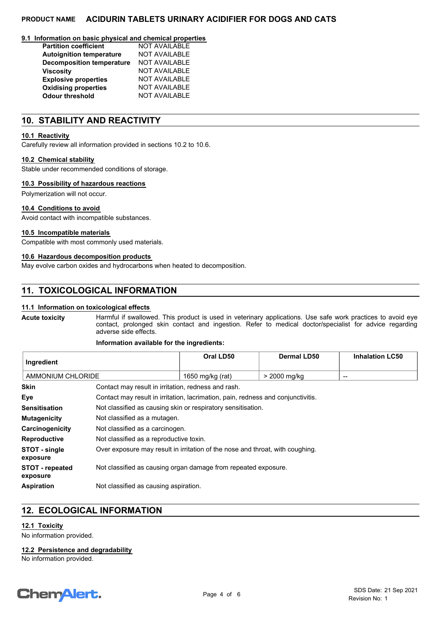#### **9.1 Information on basic physical and chemical properties**

| <b>Partition coefficient</b>     | <b>NOT AVAILABLE</b> |
|----------------------------------|----------------------|
| <b>Autoignition temperature</b>  | <b>NOT AVAILABLE</b> |
| <b>Decomposition temperature</b> | <b>NOT AVAILABLE</b> |
| <b>Viscosity</b>                 | <b>NOT AVAILABLE</b> |
| <b>Explosive properties</b>      | <b>NOT AVAILABLE</b> |
| <b>Oxidising properties</b>      | <b>NOT AVAILABLE</b> |
| <b>Odour threshold</b>           | <b>NOT AVAILABLE</b> |

# **10. STABILITY AND REACTIVITY**

## **10.1 Reactivity**

Carefully review all information provided in sections 10.2 to 10.6.

#### **10.2 Chemical stability**

Stable under recommended conditions of storage.

## **10.3 Possibility of hazardous reactions**

Polymerization will not occur.

## **10.4 Conditions to avoid**

Avoid contact with incompatible substances.

#### **10.5 Incompatible materials**

Compatible with most commonly used materials.

## **10.6 Hazardous decomposition products**

May evolve carbon oxides and hydrocarbons when heated to decomposition.

# **11. TOXICOLOGICAL INFORMATION**

## **11.1 Information on toxicological effects**

Harmful if swallowed. This product is used in veterinary applications. Use safe work practices to avoid eye contact, prolonged skin contact and ingestion. Refer to medical doctor/specialist for advice regarding adverse side effects. **Acute toxicity**

#### **Information available for the ingredients:**

| ∣ Ingredient      |                                                     | Oral LD50        | Dermal LD50  | <b>Inhalation LC50</b> |
|-------------------|-----------------------------------------------------|------------------|--------------|------------------------|
| AMMONIUM CHLORIDE |                                                     | 1650 mg/kg (rat) | > 2000 mg/kg | $- -$                  |
| <b>Skin</b>       | Contact may result in irritation, redness and rash. |                  |              |                        |

|                                    | <u>oomaol may Toodit in inntation, Tounooo and Taon.</u>                         |
|------------------------------------|----------------------------------------------------------------------------------|
| Eve                                | Contact may result in irritation, lacrimation, pain, redness and conjunctivitis. |
| <b>Sensitisation</b>               | Not classified as causing skin or respiratory sensitisation.                     |
| <b>Mutagenicity</b>                | Not classified as a mutagen.                                                     |
| Carcinogenicity                    | Not classified as a carcinogen.                                                  |
| <b>Reproductive</b>                | Not classified as a reproductive toxin.                                          |
| STOT - single<br>exposure          | Over exposure may result in irritation of the nose and throat, with coughing.    |
| <b>STOT</b> - repeated<br>exposure | Not classified as causing organ damage from repeated exposure.                   |
| <b>Aspiration</b>                  | Not classified as causing aspiration.                                            |

# **12. ECOLOGICAL INFORMATION**

# **12.1 Toxicity**

No information provided.

**12.2 Persistence and degradability**

No information provided.

# **ChemAlert.**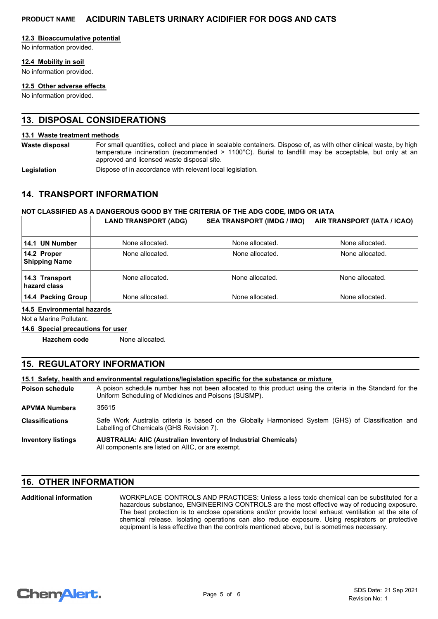## **12.3 Bioaccumulative potential**

No information provided.

## **12.4 Mobility in soil**

No information provided.

## **12.5 Other adverse effects**

No information provided.

# **13. DISPOSAL CONSIDERATIONS**

#### **13.1 Waste treatment methods**

For small quantities, collect and place in sealable containers. Dispose of, as with other clinical waste, by high temperature incineration (recommended > 1100°C). Burial to landfill may be acceptable, but only at an approved and licensed waste disposal site. **Waste disposal**

Legislation **Dispose of in accordance with relevant local legislation.** 

# **14. TRANSPORT INFORMATION**

## **NOT CLASSIFIED AS A DANGEROUS GOOD BY THE CRITERIA OF THE ADG CODE, IMDG OR IATA**

|                                     | <b>LAND TRANSPORT (ADG)</b> | <b>SEA TRANSPORT (IMDG / IMO)</b> | AIR TRANSPORT (IATA / ICAO) |
|-------------------------------------|-----------------------------|-----------------------------------|-----------------------------|
| 14.1 UN Number                      | None allocated.             | None allocated.                   | None allocated.             |
| 14.2 Proper<br><b>Shipping Name</b> | None allocated.             | None allocated.                   | None allocated.             |
| 14.3 Transport<br>hazard class      | None allocated.             | None allocated.                   | None allocated.             |
| 14.4 Packing Group                  | None allocated.             | None allocated.                   | None allocated.             |

# **14.5 Environmental hazards**

Not a Marine Pollutant.

# **14.6 Special precautions for user**

**Hazchem code** None allocated.

# **15. REGULATORY INFORMATION**

#### **15.1 Safety, health and environmental regulations/legislation specific for the substance or mixture**

A poison schedule number has not been allocated to this product using the criteria in the Standard for the Uniform Scheduling of Medicines and Poisons (SUSMP). **Poison schedule**

**APVMA Numbers** 35615

Safe Work Australia criteria is based on the Globally Harmonised System (GHS) of Classification and Labelling of Chemicals (GHS Revision 7). **Classifications**

**AUSTRALIA: AIIC (Australian Inventory of Industrial Chemicals)** All components are listed on AIIC, or are exempt. **Inventory listings**

# **16. OTHER INFORMATION**

WORKPLACE CONTROLS AND PRACTICES: Unless a less toxic chemical can be substituted for a hazardous substance, ENGINEERING CONTROLS are the most effective way of reducing exposure. The best protection is to enclose operations and/or provide local exhaust ventilation at the site of chemical release. Isolating operations can also reduce exposure. Using respirators or protective equipment is less effective than the controls mentioned above, but is sometimes necessary. **Additional information**

```
ChemAlert.
```